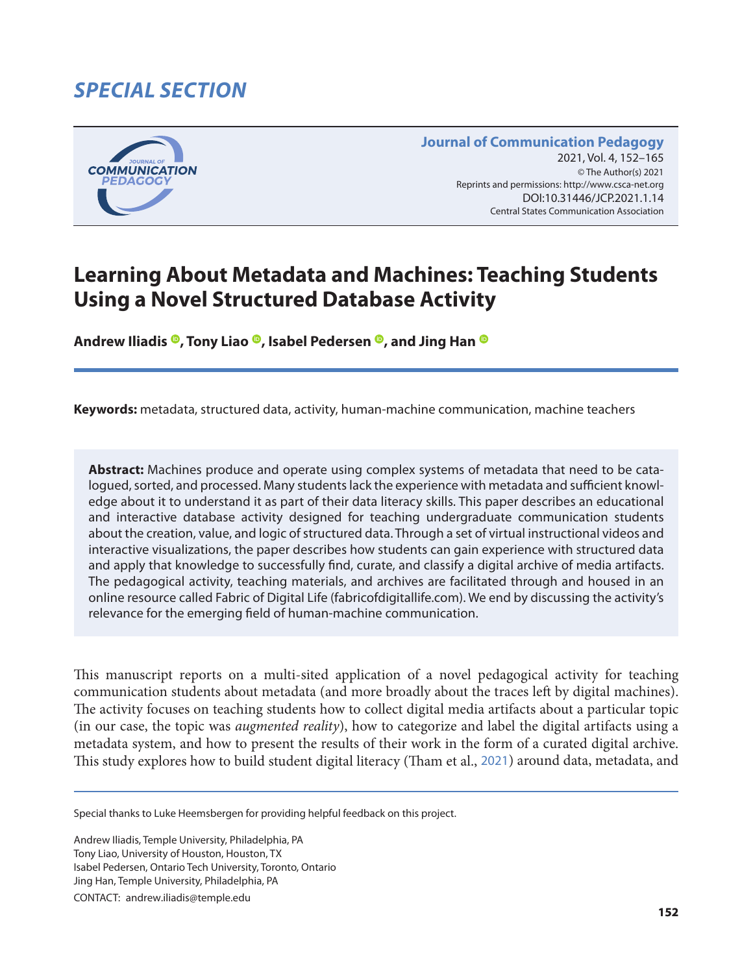# *SPECIAL SECTION*



**Journal of Communication Pedagogy** 2021, Vol. 4, 152-165 © The Author(s) 2021 Reprints and permissions: <http://www.csca-net.org> 2021, Vol. 4, 152–1652021Reprints and permissions:<http://www.csca-net.org> DOI:10.31446/JCP.2021.1.14 Central States Communication Association Central States Communication Association

# **Learning About Metadata and Machines: Teaching Students Using a Novel Structured Database Activity**

**AndrewIliadis**  $\Phi$ , Tony Liao  $\Phi$ , Isabel Pedersen  $\Phi$ , and Jing Han  $\Phi$ 

**Keywords:** metadata, structured data, activity, human-machine communication, machine teachers

**Abstract:** Machines produce and operate using complex systems of metadata that need to be catalogued, sorted, and processed. Many students lack the experience with metadata and sufficient knowledge about it to understand it as part of their data literacy skills. This paper describes an educational and interactive database activity designed for teaching undergraduate communication students about the creation, value, and logic of structured data. Through a set of virtual instructional videos and interactive visualizations, the paper describes how students can gain experience with structured data and apply that knowledge to successfully find, curate, and classify a digital archive of media artifacts. The pedagogical activity, teaching materials, and archives are facilitated through and housed in an online resource called Fabric of Digital Life (fabricofdigitallife.com). We end by discussing the activity's relevance for the emerging field of human-machine communication.

This manuscript reports on a multi-sited application of a novel pedagogical activity for teaching communication students about metadata (and more broadly about the traces left by digital machines). The activity focuses on teaching students how to collect digital media artifacts about a particular topic (in our case, the topic was *augmented reality*), how to categorize and label the digital artifacts using a metadata system, and how to present the results of their work in the form of a curated digital archive. This study explores how to build student digital literacy (Tham et al., [2021](#page-13-0)) around data, metadata, and

Special thanks to Luke Heemsbergen for providing helpful feedback on this project.

Andrew Iliadis, Temple University, Philadelphia, PA Tony Liao, University of Houston, Houston, TX Isabel Pedersen, Ontario Tech University, Toronto, Ontario Jing Han, Temple University, Philadelphia, PA

CONTACT: andrew.iliadis@temple.edu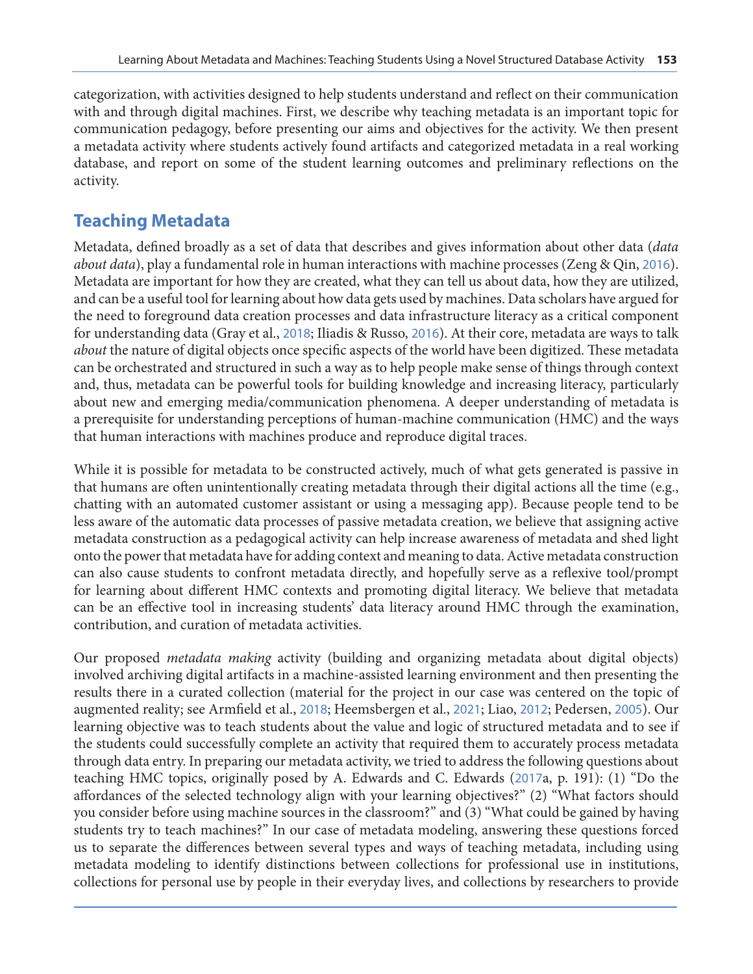categorization, with activities designed to help students understand and reflect on their communication with and through digital machines. First, we describe why teaching metadata is an important topic for communication pedagogy, before presenting our aims and objectives for the activity. We then present a metadata activity where students actively found artifacts and categorized metadata in a real working database, and report on some of the student learning outcomes and preliminary reflections on the activity.

### **Teaching Metadata**

Metadata, defined broadly as a set of data that describes and gives information about other data (*data about data*), play a fundamental role in human interactions with machine processes (Zeng & Qin, [2016](#page-13-0)). Metadata are important for how they are created, what they can tell us about data, how they are utilized, and can be a useful tool for learning about how data gets used by machines. Data scholars have argued for the need to foreground data creation processes and data infrastructure literacy as a critical component for understanding data (Gray et al., [2018](#page-12-0); Iliadis & Russo, [2016](#page-12-0)). At their core, metadata are ways to talk *about* the nature of digital objects once specific aspects of the world have been digitized. These metadata can be orchestrated and structured in such a way as to help people make sense of things through context and, thus, metadata can be powerful tools for building knowledge and increasing literacy, particularly about new and emerging media/communication phenomena. A deeper understanding of metadata is a prerequisite for understanding perceptions of human-machine communication (HMC) and the ways that human interactions with machines produce and reproduce digital traces.

While it is possible for metadata to be constructed actively, much of what gets generated is passive in that humans are often unintentionally creating metadata through their digital actions all the time (e.g., chatting with an automated customer assistant or using a messaging app). Because people tend to be less aware of the automatic data processes of passive metadata creation, we believe that assigning active metadata construction as a pedagogical activity can help increase awareness of metadata and shed light onto the power that metadata have for adding context and meaning to data. Active metadata construction can also cause students to confront metadata directly, and hopefully serve as a reflexive tool/prompt for learning about different HMC contexts and promoting digital literacy. We believe that metadata can be an effective tool in increasing students' data literacy around HMC through the examination, contribution, and curation of metadata activities.

Our proposed *metadata making* activity (building and organizing metadata about digital objects) involved archiving digital artifacts in a machine-assisted learning environment and then presenting the results there in a curated collection (material for the project in our case was centered on the topic of augmented reality; see Armfield et al., [2018](#page-11-0); Heemsbergen et al., [2021](#page-12-0); Liao, [2012](#page-12-0); Pedersen, [2005](#page-13-0)). Our learning objective was to teach students about the value and logic of structured metadata and to see if the students could successfully complete an activity that required them to accurately process metadata through data entry. In preparing our metadata activity, we tried to address the following questions about teaching HMC topics, originally posed by A. Edwards and C. Edwards ([2017](#page-11-0)a, p. 191): (1) "Do the affordances of the selected technology align with your learning objectives?" (2) "What factors should you consider before using machine sources in the classroom?" and (3) "What could be gained by having students try to teach machines?" In our case of metadata modeling, answering these questions forced us to separate the differences between several types and ways of teaching metadata, including using metadata modeling to identify distinctions between collections for professional use in institutions, collections for personal use by people in their everyday lives, and collections by researchers to provide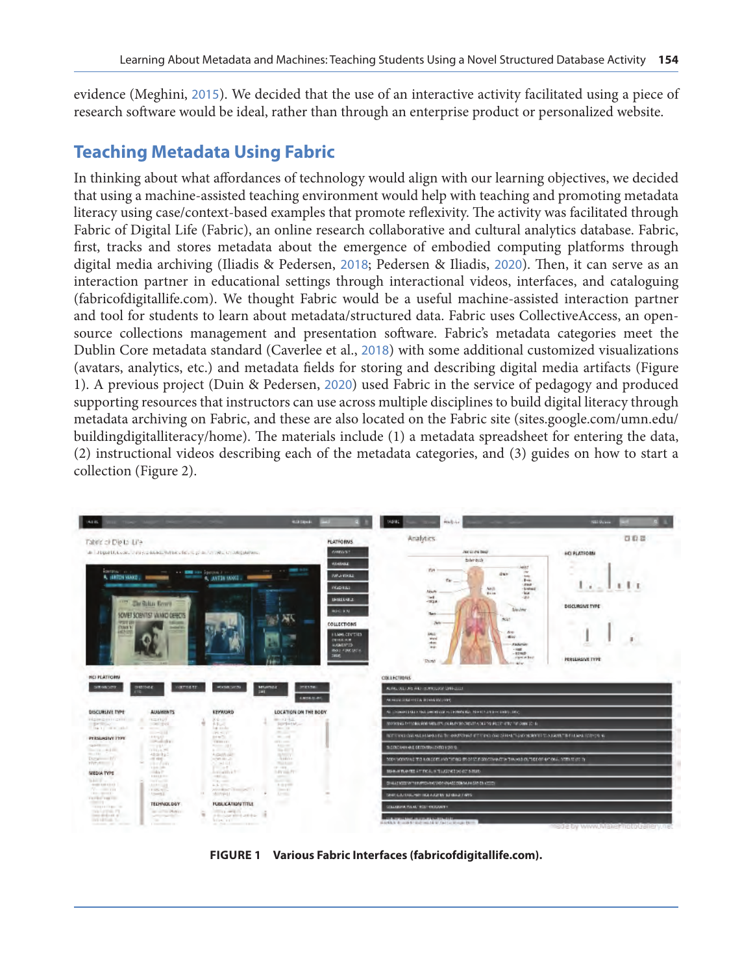evidence (Meghini, [2015](#page-12-0)). We decided that the use of an interactive activity facilitated using a piece of research software would be ideal, rather than through an enterprise product or personalized website.

### **Teaching Metadata Using Fabric**

In thinking about what affordances of technology would align with our learning objectives, we decided that using a machine-assisted teaching environment would help with teaching and promoting metadata literacy using case/context-based examples that promote reflexivity. The activity was facilitated through Fabric of Digital Life (Fabric), an online research collaborative and cultural analytics database. Fabric, first, tracks and stores metadata about the emergence of embodied computing platforms through digital media archiving (Iliadis & Pedersen, [2018](#page-12-0); Pedersen & Iliadis, [2020](#page-13-0)). Then, it can serve as an interaction partner in educational settings through interactional videos, interfaces, and cataloguing (fabricofdigitallife.com). We thought Fabric would be a useful machine-assisted interaction partner and tool for students to learn about metadata/structured data. Fabric uses CollectiveAccess, an opensource collections management and presentation software. Fabric's metadata categories meet the Dublin Core metadata standard (Caverlee et al., [2018](#page-11-0)) with some additional customized visualizations (avatars, analytics, etc.) and metadata fields for storing and describing digital media artifacts (Figure 1). A previous project (Duin & Pedersen, [2020](#page-11-0)) used Fabric in the service of pedagogy and produced supporting resources that instructors can use across multiple disciplines to build digital literacy through metadata archiving on Fabric, and these are also located on the Fabric site (sites.google.com/umn.edu/ buildingdigitalliteracy/home). The materials include (1) a metadata spreadsheet for entering the data, (2) instructional videos describing each of the metadata categories, and (3) guides on how to start a collection (Figure 2).



**FIGURE 1 Various Fabric Interfaces (fabricofdigitallife.com).**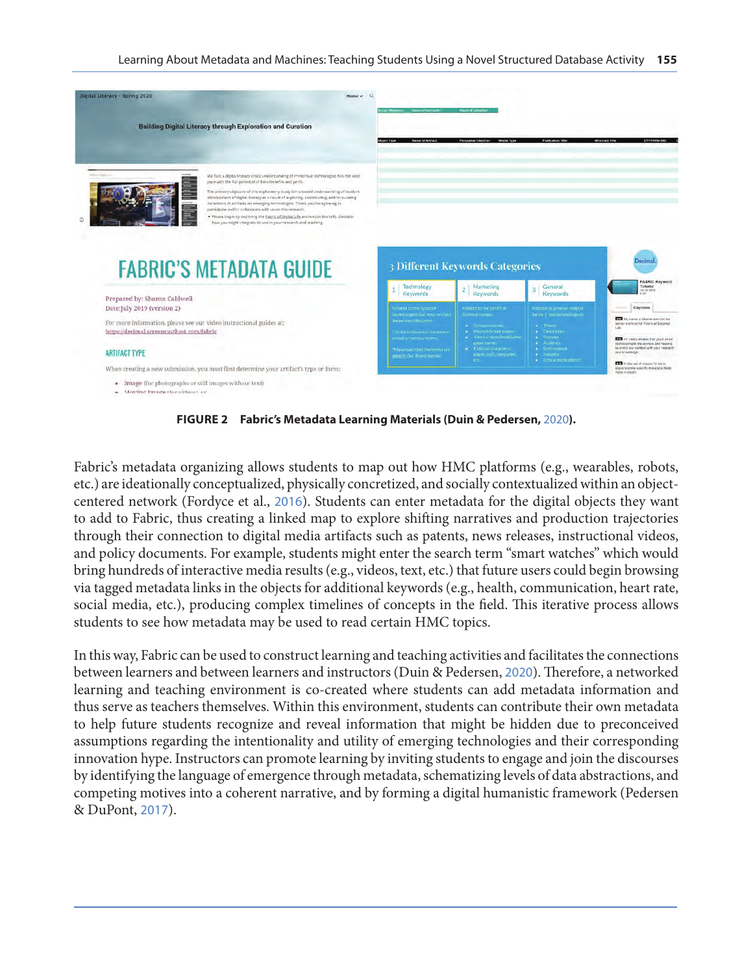|                                                                                                                  | <b>Building Digital Literacy through Exploration and Curation</b>                                                                                                                                                                                                                                                                                                                                                                                                                     |                                                                                |                                                                                  |                                                                                      |                                                                                                                                                |
|------------------------------------------------------------------------------------------------------------------|---------------------------------------------------------------------------------------------------------------------------------------------------------------------------------------------------------------------------------------------------------------------------------------------------------------------------------------------------------------------------------------------------------------------------------------------------------------------------------------|--------------------------------------------------------------------------------|----------------------------------------------------------------------------------|--------------------------------------------------------------------------------------|------------------------------------------------------------------------------------------------------------------------------------------------|
|                                                                                                                  |                                                                                                                                                                                                                                                                                                                                                                                                                                                                                       | Name of Artifact<br>Object Type                                                | <b>Persuasive Intention</b><br>Media Type                                        | <b>Publication Title</b>                                                             | <b>Alternate Title</b><br>(YYYY-MM-DD)                                                                                                         |
| <b>CONTRACTOR</b> CARD IN 1979                                                                                   | We face a digital literacy onsist understanding of immersive technologies has not kept.<br>pace with the full potential of their benefits and perlis.<br>The primary objective of this exploratory study is increased understanding of student<br>development of digital literacy as a result of exploring, contributing, and/or curating<br>collections of artifacts on emerging technologies. Thank you for agree mg to<br>participate and/or collaborate with us on this research. |                                                                                |                                                                                  |                                                                                      |                                                                                                                                                |
|                                                                                                                  | . Please begin by exploring the Eabric of Digital Life archive (on the left). Consider<br>how you might integrate its use in your research and teaching.                                                                                                                                                                                                                                                                                                                              |                                                                                | <b>3 Different Keywords Categories</b>                                           |                                                                                      | Jecimo                                                                                                                                         |
|                                                                                                                  | <b>FABRIC'S METADATA GUIDE</b>                                                                                                                                                                                                                                                                                                                                                                                                                                                        | Technology<br><b>Keywords</b>                                                  | Marketing<br>$\overline{\mathbf{z}}$<br><b>Keywords</b>                          | General<br><b>Keywords</b>                                                           | <b>FABRIC Keyword</b><br>Tutorial<br>Jul 23 2019                                                                                               |
| Prepared by: Sharon Caldwell<br>Date:July 2019 (version 2)                                                       |                                                                                                                                                                                                                                                                                                                                                                                                                                                                                       | Related mitte types of<br>lechnologies that your artifact-                     | Related to for-profit or<br><b>Retional numers</b>                               | Related to general subject<br><b>Accepted Soc (Fig. )</b>                            | Captions                                                                                                                                       |
| For more information, please see our video instructional guides at:<br>https://decimal.screencasthost.com/fabric |                                                                                                                                                                                                                                                                                                                                                                                                                                                                                       | drewcases/discusses<br>Carl be software or liar dware.<br>broad or narmwrtenns | <b>4.</b> Company names<br>· Product/brand names<br>a Film/ts/shmw/book/video    | . Theme<br>· Description<br><b>A</b> Purrene                                         | My hand is Sharon and I'm the<br>service anchivist for Felonic at Documes<br>THE First reality excited that you'll git be                      |
| <b>ARTIFACT TYPE</b>                                                                                             |                                                                                                                                                                                                                                                                                                                                                                                                                                                                                       | "Make sure that the terms are<br>generic (no tirand name)                      | game names<br>· Fittional distractors.<br>places, tech, companies.<br><b>etc</b> | $\bullet$ Audience<br>. Environment<br>$\bullet$ Industry<br>· Etnical Implications? | dentitiouting to the archive and helping<br>to entich our content with your reasonah<br>and knowledge.<br>THE In the set of videos (it like to |

**FIGURE 2 Fabric's Metadata Learning Materials (Duin & Pedersen,** [2020](#page-11-0)**).**

Fabric's metadata organizing allows students to map out how HMC platforms (e.g., wearables, robots, etc.) are ideationally conceptualized, physically concretized, and socially contextualized within an objectcentered network (Fordyce et al., [2016](#page-12-0)). Students can enter metadata for the digital objects they want to add to Fabric, thus creating a linked map to explore shifting narratives and production trajectories through their connection to digital media artifacts such as patents, news releases, instructional videos, and policy documents. For example, students might enter the search term "smart watches" which would bring hundreds of interactive media results (e.g., videos, text, etc.) that future users could begin browsing via tagged metadata links in the objects for additional keywords (e.g., health, communication, heart rate, social media, etc.), producing complex timelines of concepts in the field. This iterative process allows students to see how metadata may be used to read certain HMC topics.

In this way, Fabric can be used to construct learning and teaching activities and facilitates the connections between learners and between learners and instructors (Duin & Pedersen, [2020](#page-11-0)). Therefore, a networked learning and teaching environment is co-created where students can add metadata information and thus serve as teachers themselves. Within this environment, students can contribute their own metadata to help future students recognize and reveal information that might be hidden due to preconceived assumptions regarding the intentionality and utility of emerging technologies and their corresponding innovation hype. Instructors can promote learning by inviting students to engage and join the discourses by identifying the language of emergence through metadata, schematizing levels of data abstractions, and competing motives into a coherent narrative, and by forming a digital humanistic framework (Pedersen & DuPont, [2017](#page-13-0)).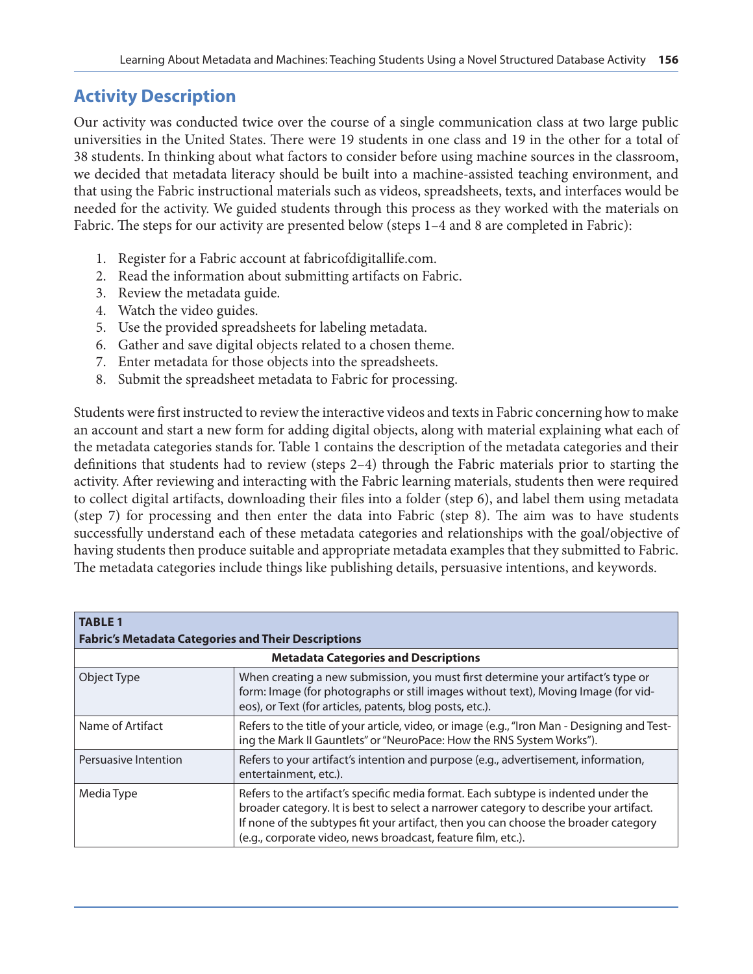### **Activity Description**

Our activity was conducted twice over the course of a single communication class at two large public universities in the United States. There were 19 students in one class and 19 in the other for a total of 38 students. In thinking about what factors to consider before using machine sources in the classroom, we decided that metadata literacy should be built into a machine-assisted teaching environment, and that using the Fabric instructional materials such as videos, spreadsheets, texts, and interfaces would be needed for the activity. We guided students through this process as they worked with the materials on Fabric. The steps for our activity are presented below (steps 1–4 and 8 are completed in Fabric):

- 1. Register for a Fabric account at fabricofdigitallife.com.
- 2. Read the information about submitting artifacts on Fabric.
- 3. Review the metadata guide.
- 4. Watch the video guides.
- 5. Use the provided spreadsheets for labeling metadata.
- 6. Gather and save digital objects related to a chosen theme.
- 7. Enter metadata for those objects into the spreadsheets.
- 8. Submit the spreadsheet metadata to Fabric for processing.

Students were first instructed to review the interactive videos and texts in Fabric concerning how to make an account and start a new form for adding digital objects, along with material explaining what each of the metadata categories stands for. Table 1 contains the description of the metadata categories and their definitions that students had to review (steps 2–4) through the Fabric materials prior to starting the activity. After reviewing and interacting with the Fabric learning materials, students then were required to collect digital artifacts, downloading their files into a folder (step 6), and label them using metadata (step 7) for processing and then enter the data into Fabric (step 8). The aim was to have students successfully understand each of these metadata categories and relationships with the goal/objective of having students then produce suitable and appropriate metadata examples that they submitted to Fabric. The metadata categories include things like publishing details, persuasive intentions, and keywords.

| <b>TABLE 1</b><br><b>Fabric's Metadata Categories and Their Descriptions</b> |                                                                                                                                                                                                                                                                                                                                    |  |  |  |
|------------------------------------------------------------------------------|------------------------------------------------------------------------------------------------------------------------------------------------------------------------------------------------------------------------------------------------------------------------------------------------------------------------------------|--|--|--|
| <b>Metadata Categories and Descriptions</b>                                  |                                                                                                                                                                                                                                                                                                                                    |  |  |  |
| Object Type                                                                  | When creating a new submission, you must first determine your artifact's type or<br>form: Image (for photographs or still images without text), Moving Image (for vid-<br>eos), or Text (for articles, patents, blog posts, etc.).                                                                                                 |  |  |  |
| Name of Artifact                                                             | Refers to the title of your article, video, or image (e.g., "Iron Man - Designing and Test-<br>ing the Mark II Gauntlets" or "NeuroPace: How the RNS System Works").                                                                                                                                                               |  |  |  |
| Persuasive Intention                                                         | Refers to your artifact's intention and purpose (e.g., advertisement, information,<br>entertainment, etc.).                                                                                                                                                                                                                        |  |  |  |
| Media Type                                                                   | Refers to the artifact's specific media format. Each subtype is indented under the<br>broader category. It is best to select a narrower category to describe your artifact.<br>If none of the subtypes fit your artifact, then you can choose the broader category<br>(e.g., corporate video, news broadcast, feature film, etc.). |  |  |  |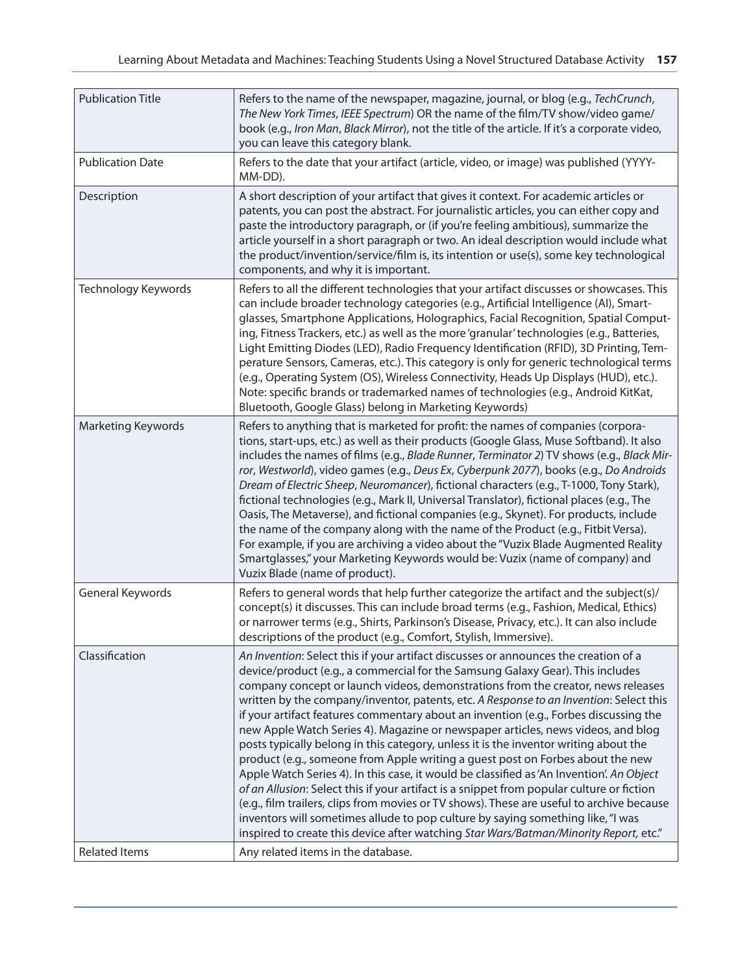| <b>Publication Title</b>  | Refers to the name of the newspaper, magazine, journal, or blog (e.g., TechCrunch,<br>The New York Times, IEEE Spectrum) OR the name of the film/TV show/video game/<br>book (e.g., Iron Man, Black Mirror), not the title of the article. If it's a corporate video,<br>you can leave this category blank.                                                                                                                                                                                                                                                                                                                                                                                                                                                                                                                                                                                                                                                                                                                                                                                                                                                                 |
|---------------------------|-----------------------------------------------------------------------------------------------------------------------------------------------------------------------------------------------------------------------------------------------------------------------------------------------------------------------------------------------------------------------------------------------------------------------------------------------------------------------------------------------------------------------------------------------------------------------------------------------------------------------------------------------------------------------------------------------------------------------------------------------------------------------------------------------------------------------------------------------------------------------------------------------------------------------------------------------------------------------------------------------------------------------------------------------------------------------------------------------------------------------------------------------------------------------------|
| <b>Publication Date</b>   | Refers to the date that your artifact (article, video, or image) was published (YYYY-<br>MM-DD).                                                                                                                                                                                                                                                                                                                                                                                                                                                                                                                                                                                                                                                                                                                                                                                                                                                                                                                                                                                                                                                                            |
| Description               | A short description of your artifact that gives it context. For academic articles or<br>patents, you can post the abstract. For journalistic articles, you can either copy and<br>paste the introductory paragraph, or (if you're feeling ambitious), summarize the<br>article yourself in a short paragraph or two. An ideal description would include what<br>the product/invention/service/film is, its intention or use(s), some key technological<br>components, and why it is important.                                                                                                                                                                                                                                                                                                                                                                                                                                                                                                                                                                                                                                                                              |
| Technology Keywords       | Refers to all the different technologies that your artifact discusses or showcases. This<br>can include broader technology categories (e.g., Artificial Intelligence (AI), Smart-<br>glasses, Smartphone Applications, Holographics, Facial Recognition, Spatial Comput-<br>ing, Fitness Trackers, etc.) as well as the more 'granular' technologies (e.g., Batteries,<br>Light Emitting Diodes (LED), Radio Frequency Identification (RFID), 3D Printing, Tem-<br>perature Sensors, Cameras, etc.). This category is only for generic technological terms<br>(e.g., Operating System (OS), Wireless Connectivity, Heads Up Displays (HUD), etc.).<br>Note: specific brands or trademarked names of technologies (e.g., Android KitKat,<br>Bluetooth, Google Glass) belong in Marketing Keywords)                                                                                                                                                                                                                                                                                                                                                                           |
| <b>Marketing Keywords</b> | Refers to anything that is marketed for profit: the names of companies (corpora-<br>tions, start-ups, etc.) as well as their products (Google Glass, Muse Softband). It also<br>includes the names of films (e.g., Blade Runner, Terminator 2) TV shows (e.g., Black Mir-<br>ror, Westworld), video games (e.g., Deus Ex, Cyberpunk 2077), books (e.g., Do Androids<br>Dream of Electric Sheep, Neuromancer), fictional characters (e.g., T-1000, Tony Stark),<br>fictional technologies (e.g., Mark II, Universal Translator), fictional places (e.g., The<br>Oasis, The Metaverse), and fictional companies (e.g., Skynet). For products, include<br>the name of the company along with the name of the Product (e.g., Fitbit Versa).<br>For example, if you are archiving a video about the "Vuzix Blade Augmented Reality<br>Smartglasses," your Marketing Keywords would be: Vuzix (name of company) and<br>Vuzix Blade (name of product).                                                                                                                                                                                                                             |
| General Keywords          | Refers to general words that help further categorize the artifact and the subject(s)/<br>concept(s) it discusses. This can include broad terms (e.g., Fashion, Medical, Ethics)<br>or narrower terms (e.g., Shirts, Parkinson's Disease, Privacy, etc.). It can also include<br>descriptions of the product (e.g., Comfort, Stylish, Immersive).                                                                                                                                                                                                                                                                                                                                                                                                                                                                                                                                                                                                                                                                                                                                                                                                                            |
| Classification            | An Invention: Select this if your artifact discusses or announces the creation of a<br>device/product (e.g., a commercial for the Samsung Galaxy Gear). This includes<br>company concept or launch videos, demonstrations from the creator, news releases<br>written by the company/inventor, patents, etc. A Response to an Invention: Select this<br>if your artifact features commentary about an invention (e.g., Forbes discussing the<br>new Apple Watch Series 4). Magazine or newspaper articles, news videos, and blog<br>posts typically belong in this category, unless it is the inventor writing about the<br>product (e.g., someone from Apple writing a guest post on Forbes about the new<br>Apple Watch Series 4). In this case, it would be classified as 'An Invention'. An Object<br>of an Allusion: Select this if your artifact is a snippet from popular culture or fiction<br>(e.g., film trailers, clips from movies or TV shows). These are useful to archive because<br>inventors will sometimes allude to pop culture by saying something like, "I was<br>inspired to create this device after watching Star Wars/Batman/Minority Report, etc." |
| <b>Related Items</b>      | Any related items in the database.                                                                                                                                                                                                                                                                                                                                                                                                                                                                                                                                                                                                                                                                                                                                                                                                                                                                                                                                                                                                                                                                                                                                          |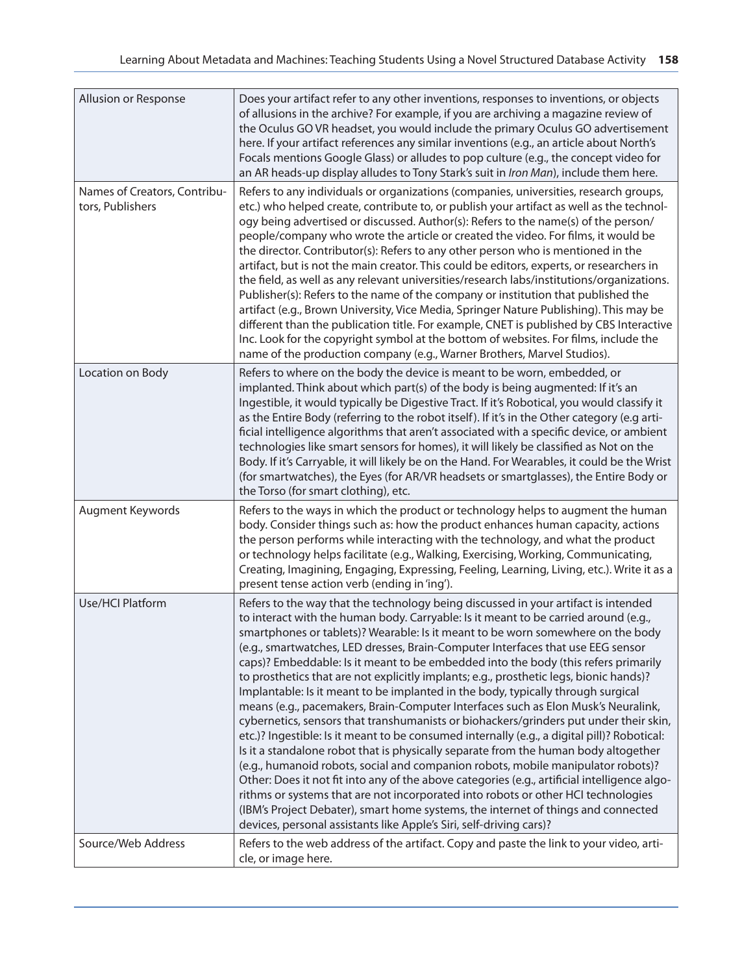| Allusion or Response                             | Does your artifact refer to any other inventions, responses to inventions, or objects<br>of allusions in the archive? For example, if you are archiving a magazine review of<br>the Oculus GO VR headset, you would include the primary Oculus GO advertisement<br>here. If your artifact references any similar inventions (e.g., an article about North's<br>Focals mentions Google Glass) or alludes to pop culture (e.g., the concept video for<br>an AR heads-up display alludes to Tony Stark's suit in Iron Man), include them here.                                                                                                                                                                                                                                                                                                                                                                                                                                                                                                                                                                                                                                                                                                                                                                                                                                                                                  |
|--------------------------------------------------|------------------------------------------------------------------------------------------------------------------------------------------------------------------------------------------------------------------------------------------------------------------------------------------------------------------------------------------------------------------------------------------------------------------------------------------------------------------------------------------------------------------------------------------------------------------------------------------------------------------------------------------------------------------------------------------------------------------------------------------------------------------------------------------------------------------------------------------------------------------------------------------------------------------------------------------------------------------------------------------------------------------------------------------------------------------------------------------------------------------------------------------------------------------------------------------------------------------------------------------------------------------------------------------------------------------------------------------------------------------------------------------------------------------------------|
| Names of Creators, Contribu-<br>tors, Publishers | Refers to any individuals or organizations (companies, universities, research groups,<br>etc.) who helped create, contribute to, or publish your artifact as well as the technol-<br>ogy being advertised or discussed. Author(s): Refers to the name(s) of the person/<br>people/company who wrote the article or created the video. For films, it would be<br>the director. Contributor(s): Refers to any other person who is mentioned in the<br>artifact, but is not the main creator. This could be editors, experts, or researchers in<br>the field, as well as any relevant universities/research labs/institutions/organizations.<br>Publisher(s): Refers to the name of the company or institution that published the<br>artifact (e.g., Brown University, Vice Media, Springer Nature Publishing). This may be<br>different than the publication title. For example, CNET is published by CBS Interactive<br>Inc. Look for the copyright symbol at the bottom of websites. For films, include the<br>name of the production company (e.g., Warner Brothers, Marvel Studios).                                                                                                                                                                                                                                                                                                                                       |
| Location on Body                                 | Refers to where on the body the device is meant to be worn, embedded, or<br>implanted. Think about which part(s) of the body is being augmented: If it's an<br>Ingestible, it would typically be Digestive Tract. If it's Robotical, you would classify it<br>as the Entire Body (referring to the robot itself). If it's in the Other category (e.g arti-<br>ficial intelligence algorithms that aren't associated with a specific device, or ambient<br>technologies like smart sensors for homes), it will likely be classified as Not on the<br>Body. If it's Carryable, it will likely be on the Hand. For Wearables, it could be the Wrist<br>(for smartwatches), the Eyes (for AR/VR headsets or smartglasses), the Entire Body or<br>the Torso (for smart clothing), etc.                                                                                                                                                                                                                                                                                                                                                                                                                                                                                                                                                                                                                                            |
| Augment Keywords                                 | Refers to the ways in which the product or technology helps to augment the human<br>body. Consider things such as: how the product enhances human capacity, actions<br>the person performs while interacting with the technology, and what the product<br>or technology helps facilitate (e.g., Walking, Exercising, Working, Communicating,<br>Creating, Imagining, Engaging, Expressing, Feeling, Learning, Living, etc.). Write it as a<br>present tense action verb (ending in 'ing').                                                                                                                                                                                                                                                                                                                                                                                                                                                                                                                                                                                                                                                                                                                                                                                                                                                                                                                                   |
| Use/HCI Platform                                 | Refers to the way that the technology being discussed in your artifact is intended<br>to interact with the human body. Carryable: Is it meant to be carried around (e.g.,<br>smartphones or tablets)? Wearable: Is it meant to be worn somewhere on the body<br>(e.g., smartwatches, LED dresses, Brain-Computer Interfaces that use EEG sensor<br>caps)? Embeddable: Is it meant to be embedded into the body (this refers primarily<br>to prosthetics that are not explicitly implants; e.g., prosthetic legs, bionic hands)?<br>Implantable: Is it meant to be implanted in the body, typically through surgical<br>means (e.g., pacemakers, Brain-Computer Interfaces such as Elon Musk's Neuralink,<br>cybernetics, sensors that transhumanists or biohackers/grinders put under their skin,<br>etc.)? Ingestible: Is it meant to be consumed internally (e.g., a digital pill)? Robotical:<br>Is it a standalone robot that is physically separate from the human body altogether<br>(e.g., humanoid robots, social and companion robots, mobile manipulator robots)?<br>Other: Does it not fit into any of the above categories (e.g., artificial intelligence algo-<br>rithms or systems that are not incorporated into robots or other HCI technologies<br>(IBM's Project Debater), smart home systems, the internet of things and connected<br>devices, personal assistants like Apple's Siri, self-driving cars)? |
| Source/Web Address                               | Refers to the web address of the artifact. Copy and paste the link to your video, arti-<br>cle, or image here.                                                                                                                                                                                                                                                                                                                                                                                                                                                                                                                                                                                                                                                                                                                                                                                                                                                                                                                                                                                                                                                                                                                                                                                                                                                                                                               |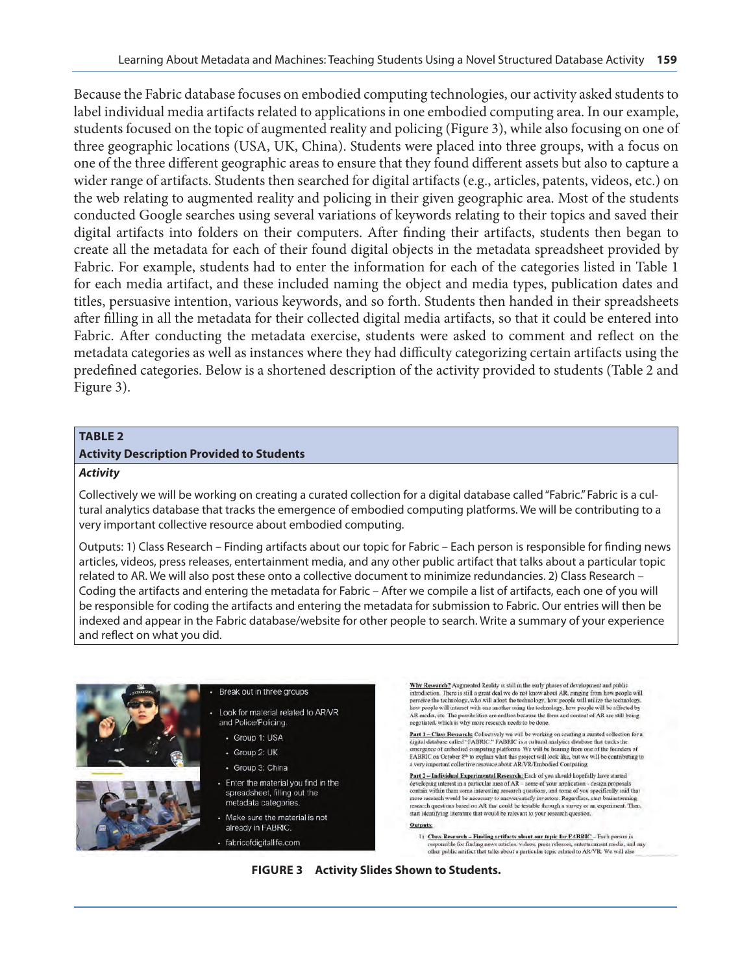Because the Fabric database focuses on embodied computing technologies, our activity asked students to label individual media artifacts related to applications in one embodied computing area. In our example, students focused on the topic of augmented reality and policing (Figure 3), while also focusing on one of three geographic locations (USA, UK, China). Students were placed into three groups, with a focus on one of the three different geographic areas to ensure that they found different assets but also to capture a wider range of artifacts. Students then searched for digital artifacts (e.g., articles, patents, videos, etc.) on the web relating to augmented reality and policing in their given geographic area. Most of the students conducted Google searches using several variations of keywords relating to their topics and saved their digital artifacts into folders on their computers. After finding their artifacts, students then began to create all the metadata for each of their found digital objects in the metadata spreadsheet provided by Fabric. For example, students had to enter the information for each of the categories listed in Table 1 for each media artifact, and these included naming the object and media types, publication dates and titles, persuasive intention, various keywords, and so forth. Students then handed in their spreadsheets after filling in all the metadata for their collected digital media artifacts, so that it could be entered into Fabric. After conducting the metadata exercise, students were asked to comment and reflect on the metadata categories as well as instances where they had difficulty categorizing certain artifacts using the predefined categories. Below is a shortened description of the activity provided to students (Table 2 and Figure 3).

#### **TABLE 2**

#### **Activity Description Provided to Students**

#### *Activity*

Collectively we will be working on creating a curated collection for a digital database called "Fabric." Fabric is a cultural analytics database that tracks the emergence of embodied computing platforms. We will be contributing to a very important collective resource about embodied computing.

Outputs: 1) Class Research – Finding artifacts about our topic for Fabric – Each person is responsible for finding news articles, videos, press releases, entertainment media, and any other public artifact that talks about a particular topic related to AR. We will also post these onto a collective document to minimize redundancies. 2) Class Research – Coding the artifacts and entering the metadata for Fabric – After we compile a list of artifacts, each one of you will be responsible for coding the artifacts and entering the metadata for submission to Fabric. Our entries will then be indexed and appear in the Fabric database/website for other people to search. Write a summary of your experience and reflect on what you did.



#### Break out in three groups

- Look for material related to AR/VR and Police/Policing.
	- · Group 1: USA
	- · Group 2: UK
	- · Group 3: China
	- Enter the material you find in the spreadsheet, filling out the metadata categories.
	- Make sure the material is not already in FABRIC.

· fabricofdigitallife.com

Why Research? Augmented Reality is still in the early phases of development and public introduction. There is still a great deal we do not know about AR, ranging from how people will measurement to the behavior of the technology, how people will unlike the technology, who will interact with one another using the technology, how people will be affected by AR media, etc. The possibilities are endless bec negotiated, which is why more research needs to be done.

Part 1 - Class Research: Collectively we will be working on creating a curated collection for a digital database called "FABRIC i" FABRIC is a cultural analytics database that tracks the may analogo complex computing platforms. We will be been go from one of the founders energience of embodied computing platforms. We will be been go from one of the founders of FABRIC on October  $8^\text{th}$  to explain what th

Part 2 -- Individual Experimental Research: Each of you should hopefully have started developing interest in a particular area of AR - some of your application - design proposals as recognizations as in particular that could be recognized to contain within them some interesting research questions, and some of you specifically said that more research would be necessary to answer/satisfy investors. R start identifying literature that would be relevant to your research question.

Outputs:

1) Class Research - Finding artifacts about our topic for FABRIC - Each person is and any responsible for finding news articles, videos, press releases, entertainment media, and<br>other public artifact that talks about a particular topic related to AR/VR. We will also

**FIGURE 3 Activity Slides Shown to Students.**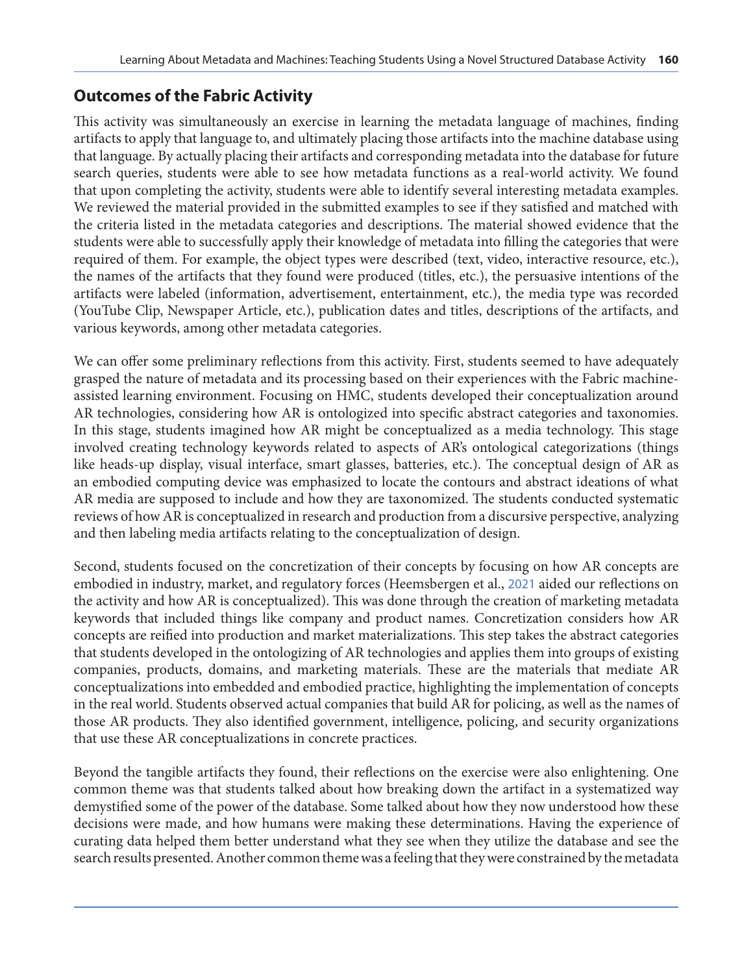### **Outcomes of the Fabric Activity**

This activity was simultaneously an exercise in learning the metadata language of machines, finding artifacts to apply that language to, and ultimately placing those artifacts into the machine database using that language. By actually placing their artifacts and corresponding metadata into the database for future search queries, students were able to see how metadata functions as a real-world activity. We found that upon completing the activity, students were able to identify several interesting metadata examples. We reviewed the material provided in the submitted examples to see if they satisfied and matched with the criteria listed in the metadata categories and descriptions. The material showed evidence that the students were able to successfully apply their knowledge of metadata into filling the categories that were required of them. For example, the object types were described (text, video, interactive resource, etc.), the names of the artifacts that they found were produced (titles, etc.), the persuasive intentions of the artifacts were labeled (information, advertisement, entertainment, etc.), the media type was recorded (YouTube Clip, Newspaper Article, etc.), publication dates and titles, descriptions of the artifacts, and various keywords, among other metadata categories.

We can offer some preliminary reflections from this activity. First, students seemed to have adequately grasped the nature of metadata and its processing based on their experiences with the Fabric machineassisted learning environment. Focusing on HMC, students developed their conceptualization around AR technologies, considering how AR is ontologized into specific abstract categories and taxonomies. In this stage, students imagined how AR might be conceptualized as a media technology. This stage involved creating technology keywords related to aspects of AR's ontological categorizations (things like heads-up display, visual interface, smart glasses, batteries, etc.). The conceptual design of AR as an embodied computing device was emphasized to locate the contours and abstract ideations of what AR media are supposed to include and how they are taxonomized. The students conducted systematic reviews of how AR is conceptualized in research and production from a discursive perspective, analyzing and then labeling media artifacts relating to the conceptualization of design.

Second, students focused on the concretization of their concepts by focusing on how AR concepts are embodied in industry, market, and regulatory forces (Heemsbergen et al., [2021](#page-12-0) aided our reflections on the activity and how AR is conceptualized). This was done through the creation of marketing metadata keywords that included things like company and product names. Concretization considers how AR concepts are reified into production and market materializations. This step takes the abstract categories that students developed in the ontologizing of AR technologies and applies them into groups of existing companies, products, domains, and marketing materials. These are the materials that mediate AR conceptualizations into embedded and embodied practice, highlighting the implementation of concepts in the real world. Students observed actual companies that build AR for policing, as well as the names of those AR products. They also identified government, intelligence, policing, and security organizations that use these AR conceptualizations in concrete practices.

Beyond the tangible artifacts they found, their reflections on the exercise were also enlightening. One common theme was that students talked about how breaking down the artifact in a systematized way demystified some of the power of the database. Some talked about how they now understood how these decisions were made, and how humans were making these determinations. Having the experience of curating data helped them better understand what they see when they utilize the database and see the search results presented. Another common theme was a feeling that they were constrained by the metadata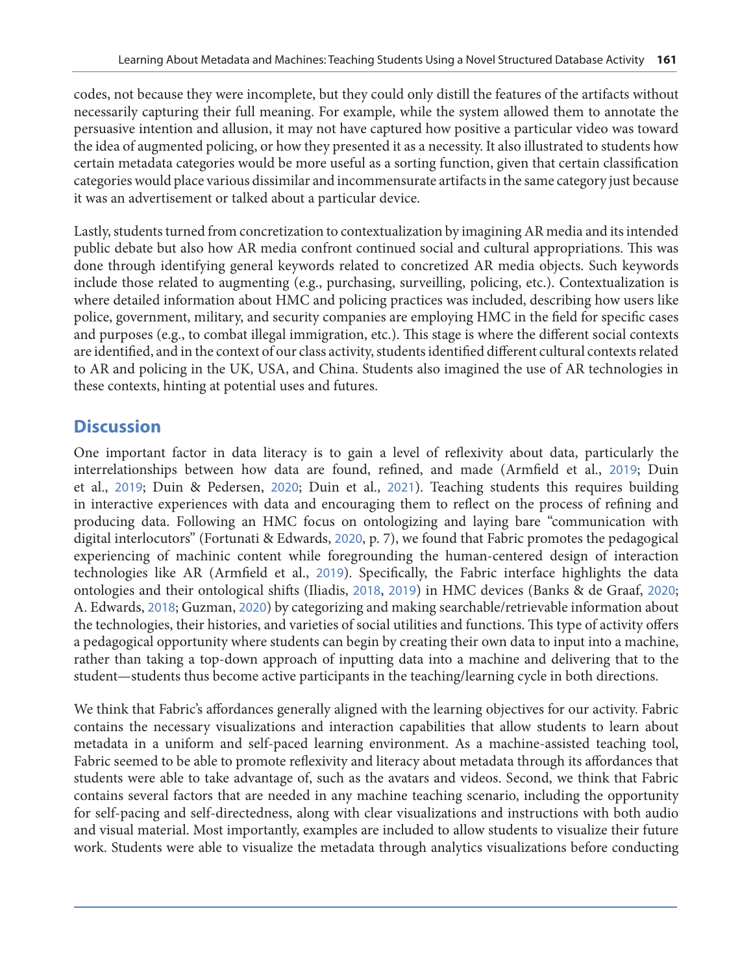codes, not because they were incomplete, but they could only distill the features of the artifacts without necessarily capturing their full meaning. For example, while the system allowed them to annotate the persuasive intention and allusion, it may not have captured how positive a particular video was toward the idea of augmented policing, or how they presented it as a necessity. It also illustrated to students how certain metadata categories would be more useful as a sorting function, given that certain classification categories would place various dissimilar and incommensurate artifacts in the same category just because it was an advertisement or talked about a particular device.

Lastly, students turned from concretization to contextualization by imagining AR media and its intended public debate but also how AR media confront continued social and cultural appropriations. This was done through identifying general keywords related to concretized AR media objects. Such keywords include those related to augmenting (e.g., purchasing, surveilling, policing, etc.). Contextualization is where detailed information about HMC and policing practices was included, describing how users like police, government, military, and security companies are employing HMC in the field for specific cases and purposes (e.g., to combat illegal immigration, etc.). This stage is where the different social contexts are identified, and in the context of our class activity, students identified different cultural contexts related to AR and policing in the UK, USA, and China. Students also imagined the use of AR technologies in these contexts, hinting at potential uses and futures.

## **Discussion**

One important factor in data literacy is to gain a level of reflexivity about data, particularly the interrelationships between how data are found, refined, and made (Armfield et al., [2019](#page-11-0); Duin et al., [2019](#page-11-0); Duin & Pedersen, [2020](#page-11-0); Duin et al., [2021](#page-11-0)). Teaching students this requires building in interactive experiences with data and encouraging them to reflect on the process of refining and producing data. Following an HMC focus on ontologizing and laying bare "communication with digital interlocutors" (Fortunati & Edwards, [2020](#page-12-0), p. 7), we found that Fabric promotes the pedagogical experiencing of machinic content while foregrounding the human-centered design of interaction technologies like AR (Armfield et al., [2019](#page-11-0)). Specifically, the Fabric interface highlights the data ontologies and their ontological shifts (Iliadis, [2018](#page-12-0), [2019](#page-12-0)) in HMC devices (Banks & de Graaf, [2020](#page-11-0); A. Edwards, [2018](#page-11-0); Guzman, [2020](#page-12-0)) by categorizing and making searchable/retrievable information about the technologies, their histories, and varieties of social utilities and functions. This type of activity offers a pedagogical opportunity where students can begin by creating their own data to input into a machine, rather than taking a top-down approach of inputting data into a machine and delivering that to the student—students thus become active participants in the teaching/learning cycle in both directions.

We think that Fabric's affordances generally aligned with the learning objectives for our activity. Fabric contains the necessary visualizations and interaction capabilities that allow students to learn about metadata in a uniform and self-paced learning environment. As a machine-assisted teaching tool, Fabric seemed to be able to promote reflexivity and literacy about metadata through its affordances that students were able to take advantage of, such as the avatars and videos. Second, we think that Fabric contains several factors that are needed in any machine teaching scenario, including the opportunity for self-pacing and self-directedness, along with clear visualizations and instructions with both audio and visual material. Most importantly, examples are included to allow students to visualize their future work. Students were able to visualize the metadata through analytics visualizations before conducting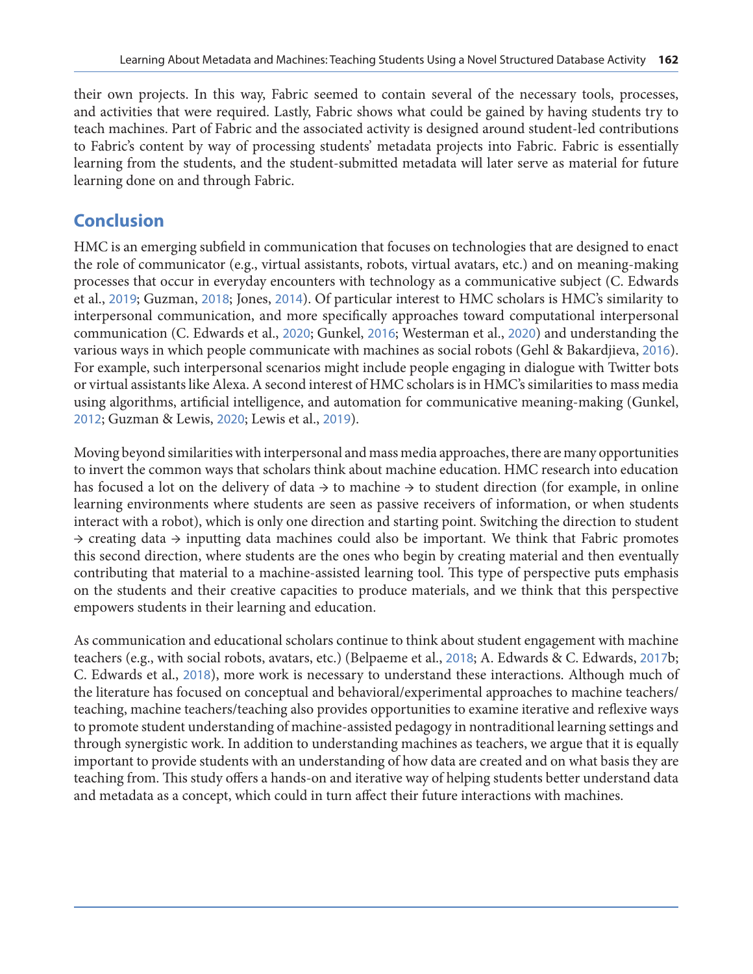their own projects. In this way, Fabric seemed to contain several of the necessary tools, processes, and activities that were required. Lastly, Fabric shows what could be gained by having students try to teach machines. Part of Fabric and the associated activity is designed around student-led contributions to Fabric's content by way of processing students' metadata projects into Fabric. Fabric is essentially learning from the students, and the student-submitted metadata will later serve as material for future learning done on and through Fabric.

## **Conclusion**

HMC is an emerging subfield in communication that focuses on technologies that are designed to enact the role of communicator (e.g., virtual assistants, robots, virtual avatars, etc.) and on meaning-making processes that occur in everyday encounters with technology as a communicative subject (C. Edwards et al., [2019](#page-11-0); Guzman, [2018](#page-12-0); Jones, [2014](#page-12-0)). Of particular interest to HMC scholars is HMC's similarity to interpersonal communication, and more specifically approaches toward computational interpersonal communication (C. Edwards et al., [2020](#page-11-0); Gunkel, [2016](#page-12-0); Westerman et al., [2020](#page-13-0)) and understanding the various ways in which people communicate with machines as social robots (Gehl & Bakardjieva, [2016](#page-12-0)). For example, such interpersonal scenarios might include people engaging in dialogue with Twitter bots or virtual assistants like Alexa. A second interest of HMC scholars is in HMC's similarities to mass media using algorithms, artificial intelligence, and automation for communicative meaning-making (Gunkel, [2012](#page-12-0); Guzman & Lewis, [2020](#page-12-0); Lewis et al., [2019](#page-12-0)).

Moving beyond similarities with interpersonal and mass media approaches, there are many opportunities to invert the common ways that scholars think about machine education. HMC research into education has focused a lot on the delivery of data  $\rightarrow$  to machine  $\rightarrow$  to student direction (for example, in online learning environments where students are seen as passive receivers of information, or when students interact with a robot), which is only one direction and starting point. Switching the direction to student  $\rightarrow$  creating data  $\rightarrow$  inputting data machines could also be important. We think that Fabric promotes this second direction, where students are the ones who begin by creating material and then eventually contributing that material to a machine-assisted learning tool. This type of perspective puts emphasis on the students and their creative capacities to produce materials, and we think that this perspective empowers students in their learning and education.

As communication and educational scholars continue to think about student engagement with machine teachers (e.g., with social robots, avatars, etc.) (Belpaeme et al., [2018](#page-11-0); A. Edwards & C. Edwards, [2017](#page-11-0)b; C. Edwards et al., [2018](#page-11-0)), more work is necessary to understand these interactions. Although much of the literature has focused on conceptual and behavioral/experimental approaches to machine teachers/ teaching, machine teachers/teaching also provides opportunities to examine iterative and reflexive ways to promote student understanding of machine-assisted pedagogy in nontraditional learning settings and through synergistic work. In addition to understanding machines as teachers, we argue that it is equally important to provide students with an understanding of how data are created and on what basis they are teaching from. This study offers a hands-on and iterative way of helping students better understand data and metadata as a concept, which could in turn affect their future interactions with machines.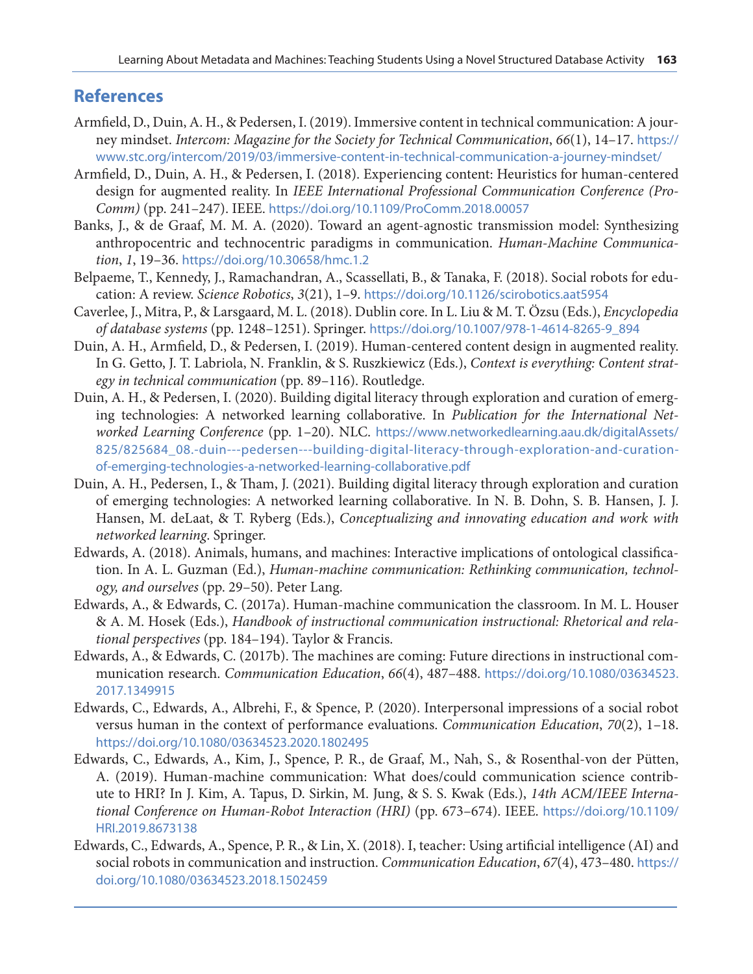### <span id="page-11-0"></span>**References**

- Armfield, D., Duin, A. H., & Pedersen, I. (2019). Immersive content in technical communication: A journey mindset. *Intercom: Magazine for the Society for Technical Communication*, *66*(1), 14–17. [https://](https://www.stc.org/intercom/2019/03/immersive-content-in-technical-communication-a-journey-mindset/) [www.stc.org/intercom/2019/03/immersive-content-in-technical-communication-a-journey-mindset/](https://www.stc.org/intercom/2019/03/immersive-content-in-technical-communication-a-journey-mindset/)
- Armfield, D., Duin, A. H., & Pedersen, I. (2018). Experiencing content: Heuristics for human-centered design for augmented reality. In *IEEE International Professional Communication Conference (Pro-Comm)* (pp. 241–247). IEEE. <https://doi.org/10.1109/ProComm.2018.00057>
- Banks, J., & de Graaf, M. M. A. (2020). Toward an agent-agnostic transmission model: Synthesizing anthropocentric and technocentric paradigms in communication. *Human-Machine Communication*, *1*, 19–36. <https://doi.org/10.30658/hmc.1.2>
- Belpaeme, T., Kennedy, J., Ramachandran, A., Scassellati, B., & Tanaka, F. (2018). Social robots for education: A review. *Science Robotics*, *3*(21), 1–9. <https://doi.org/10.1126/scirobotics.aat5954>
- Caverlee, J., Mitra, P., & Larsgaard, M. L. (2018). Dublin core. In L. Liu & M. T. Özsu (Eds.), *Encyclopedia of database systems* (pp. 1248–1251). Springer. [https://doi.org/10.1007/978-1-4614-8265-9\\_894](https://doi.org/10.1007/978-1-4614-8265-9_894)
- Duin, A. H., Armfield, D., & Pedersen, I. (2019). Human-centered content design in augmented reality. In G. Getto, J. T. Labriola, N. Franklin, & S. Ruszkiewicz (Eds.), *Context is everything: Content strategy in technical communication* (pp. 89–116). Routledge.
- Duin, A. H., & Pedersen, I. (2020). Building digital literacy through exploration and curation of emerging technologies: A networked learning collaborative. In *Publication for the International Networked Learning Conference* (pp. 1–20). NLC. [https://www.networkedlearning.aau.dk/digitalAssets/](https://www.networkedlearning.aau.dk/digitalAssets/
825/825684_08.-duin---pedersen---building-digital-literacy-through-exploration-and-curation-
of-emerging-technologies-a-networked-learning-collaborative.pdf) [825/825684\\_08.-duin---pedersen---building-digital-literacy-through-exploration-and-curation](https://www.networkedlearning.aau.dk/digitalAssets/
825/825684_08.-duin---pedersen---building-digital-literacy-through-exploration-and-curation-
of-emerging-technologies-a-networked-learning-collaborative.pdf)[of-emerging-technologies-a-networked-learning-collaborative.pdf](https://www.networkedlearning.aau.dk/digitalAssets/
825/825684_08.-duin---pedersen---building-digital-literacy-through-exploration-and-curation-
of-emerging-technologies-a-networked-learning-collaborative.pdf)
- Duin, A. H., Pedersen, I., & Tham, J. (2021). Building digital literacy through exploration and curation of emerging technologies: A networked learning collaborative. In N. B. Dohn, S. B. Hansen, J. J. Hansen, M. deLaat, & T. Ryberg (Eds.), *Conceptualizing and innovating education and work with networked learning*. Springer.
- Edwards, A. (2018). Animals, humans, and machines: Interactive implications of ontological classification. In A. L. Guzman (Ed.), *Human-machine communication: Rethinking communication, technology, and ourselves* (pp. 29–50). Peter Lang.
- Edwards, A., & Edwards, C. (2017a). Human-machine communication the classroom. In M. L. Houser & A. M. Hosek (Eds.), *Handbook of instructional communication instructional: Rhetorical and relational perspectives* (pp. 184–194). Taylor & Francis.
- Edwards, A., & Edwards, C. (2017b). The machines are coming: Future directions in instructional communication research. *Communication Education*, *66*(4), 487–488. [https://doi.org/10.1080/03634523.](https://doi.org/10.1080/03634523.2017.1349915) [2017.1349915](https://doi.org/10.1080/03634523.2017.1349915)
- Edwards, C., Edwards, A., Albrehi, F., & Spence, P. (2020). Interpersonal impressions of a social robot versus human in the context of performance evaluations. *Communication Education*, *70*(2), 1–18. <https://doi.org/10.1080/03634523.2020.1802495>
- Edwards, C., Edwards, A., Kim, J., Spence, P. R., de Graaf, M., Nah, S., & Rosenthal-von der Pütten, A. (2019). Human-machine communication: What does/could communication science contribute to HRI? In J. Kim, A. Tapus, D. Sirkin, M. Jung, & S. S. Kwak (Eds.), *14th ACM/IEEE International Conference on Human-Robot Interaction (HRI)* (pp. 673–674). IEEE. [https://doi.org/10.1109/](https://doi.org/10.1109/HRI.2019.8673138) [HRI.2019.8673138](https://doi.org/10.1109/HRI.2019.8673138)
- Edwards, C., Edwards, A., Spence, P. R., & Lin, X. (2018). I, teacher: Using artificial intelligence (AI) and social robots in communication and instruction. *Communication Education*, *67*(4), 473–480. [https://](https://doi.org/10.1080/03634523.2018.1502459) [doi.org/10.1080/03634523.2018.1502459](https://doi.org/10.1080/03634523.2018.1502459)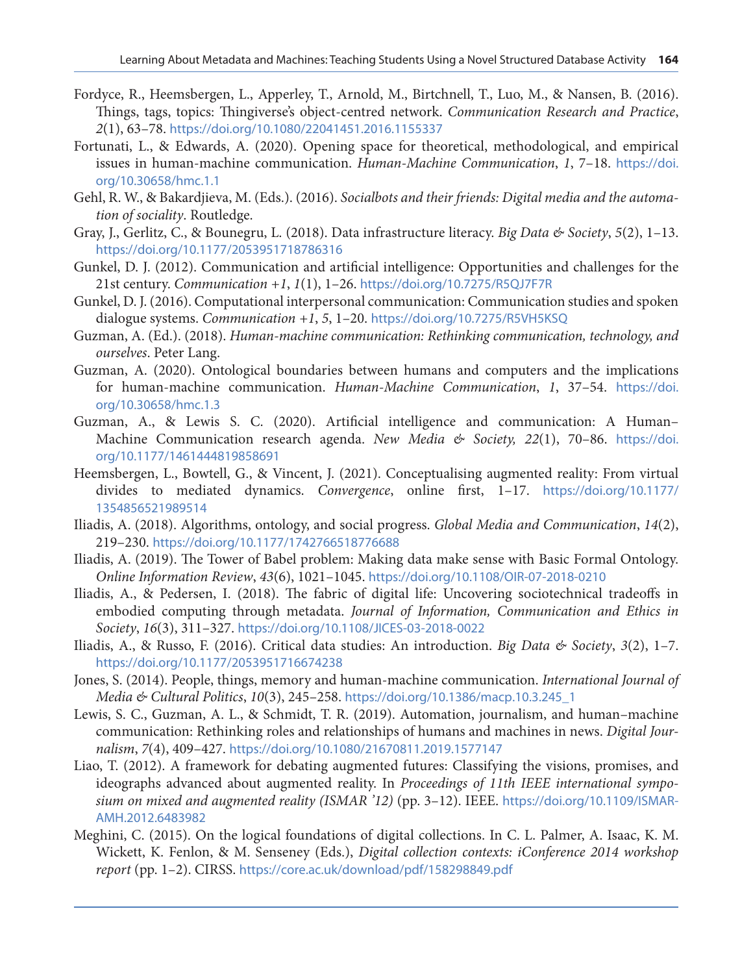- <span id="page-12-0"></span>Fordyce, R., Heemsbergen, L., Apperley, T., Arnold, M., Birtchnell, T., Luo, M., & Nansen, B. (2016). Things, tags, topics: Thingiverse's object-centred network. *Communication Research and Practice*, *2*(1), 63–78. <https://doi.org/10.1080/22041451.2016.1155337>
- Fortunati, L., & Edwards, A. (2020). Opening space for theoretical, methodological, and empirical issues in human-machine communication. *Human-Machine Communication*, *1*, 7–18. [https://doi.](https://doi.org/10.30658/hmc.1.1) [org/10.30658/hmc.1.1](https://doi.org/10.30658/hmc.1.1)
- Gehl, R. W., & Bakardjieva, M. (Eds.). (2016). *Socialbots and their friends: Digital media and the automation of sociality*. Routledge.
- Gray, J., Gerlitz, C., & Bounegru, L. (2018). Data infrastructure literacy. *Big Data & Society*, *5*(2), 1–13. <https://doi.org/10.1177/2053951718786316>
- Gunkel, D. J. (2012). Communication and artificial intelligence: Opportunities and challenges for the 21st century. *Communication +1*, *1*(1), 1–26. <https://doi.org/10.7275/R5QJ7F7R>
- Gunkel, D. J. (2016). Computational interpersonal communication: Communication studies and spoken dialogue systems. *Communication +1*, *5*, 1–20. <https://doi.org/10.7275/R5VH5KSQ>
- Guzman, A. (Ed.). (2018). *Human-machine communication: Rethinking communication, technology, and ourselves*. Peter Lang.
- Guzman, A. (2020). Ontological boundaries between humans and computers and the implications for human-machine communication. *Human-Machine Communication*, *1*, 37–54. [https://doi.](https://doi.org/10.30658/hmc.1.3) [org/10.30658/hmc.1.3](https://doi.org/10.30658/hmc.1.3)
- Guzman, A., & Lewis S. C. (2020). Artificial intelligence and communication: A Human– Machine Communication research agenda. *New Media & Society, 22*(1), 70–86. [https://doi.](https://doi.org/10.1177/1461444819858691) [org/10.1177/1461444819858691](https://doi.org/10.1177/1461444819858691)
- Heemsbergen, L., Bowtell, G., & Vincent, J. (2021). Conceptualising augmented reality: From virtual divides to mediated dynamics. *Convergence*, online first, 1–17. [https://doi.org/10.1177/](https://doi.org/10.1177/1354856521989514) [1354856521989514](https://doi.org/10.1177/1354856521989514)
- Iliadis, A. (2018). Algorithms, ontology, and social progress. *Global Media and Communication*, *14*(2), 219–230. <https://doi.org/10.1177/1742766518776688>
- Iliadis, A. (2019). The Tower of Babel problem: Making data make sense with Basic Formal Ontology. *Online Information Review*, *43*(6), 1021–1045. <https://doi.org/10.1108/OIR-07-2018-0210>
- Iliadis, A., & Pedersen, I. (2018). The fabric of digital life: Uncovering sociotechnical tradeoffs in embodied computing through metadata. *Journal of Information, Communication and Ethics in Society*, *16*(3), 311–327. <https://doi.org/10.1108/JICES-03-2018-0022>
- Iliadis, A., & Russo, F. (2016). Critical data studies: An introduction. *Big Data & Society*, *3*(2), 1–7. <https://doi.org/10.1177/2053951716674238>
- Jones, S. (2014). People, things, memory and human-machine communication. *International Journal of Media & Cultural Politics*, *10*(3), 245–258. [https://doi.org/10.1386/macp.10.3.245\\_1](https://doi.org/10.1386/macp.10.3.245_1)
- Lewis, S. C., Guzman, A. L., & Schmidt, T. R. (2019). Automation, journalism, and human–machine communication: Rethinking roles and relationships of humans and machines in news. *Digital Journalism*, *7*(4), 409–427. <https://doi.org/10.1080/21670811.2019.1577147>
- Liao, T. (2012). A framework for debating augmented futures: Classifying the visions, promises, and ideographs advanced about augmented reality. In *Proceedings of 11th IEEE international symposium on mixed and augmented reality (ISMAR '12)* (pp. 3–12). IEEE. [https://doi.org/10.1109/ISMAR-](https://doi.org/10.1109/ISMAR-AMH.2012.6483982)[AMH.2012.6483982](https://doi.org/10.1109/ISMAR-AMH.2012.6483982)
- Meghini, C. (2015). On the logical foundations of digital collections. In C. L. Palmer, A. Isaac, K. M. Wickett, K. Fenlon, & M. Senseney (Eds.), *Digital collection contexts: iConference 2014 workshop report* (pp. 1–2). CIRSS. <https://core.ac.uk/download/pdf/158298849.pdf>